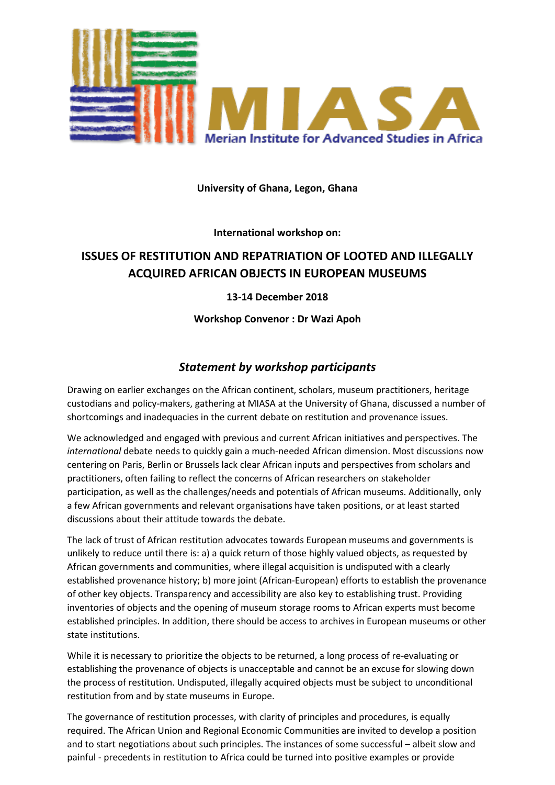

## **University of Ghana, Legon, Ghana**

**International workshop on:**

## **ISSUES OF RESTITUTION AND REPATRIATION OF LOOTED AND ILLEGALLY ACQUIRED AFRICAN OBJECTS IN EUROPEAN MUSEUMS**

## **13-14 December 2018**

**Workshop Convenor : Dr Wazi Apoh**

## *Statement by workshop participants*

Drawing on earlier exchanges on the African continent, scholars, museum practitioners, heritage custodians and policy-makers, gathering at MIASA at the University of Ghana, discussed a number of shortcomings and inadequacies in the current debate on restitution and provenance issues.

We acknowledged and engaged with previous and current African initiatives and perspectives. The *international* debate needs to quickly gain a much-needed African dimension. Most discussions now centering on Paris, Berlin or Brussels lack clear African inputs and perspectives from scholars and practitioners, often failing to reflect the concerns of African researchers on stakeholder participation, as well as the challenges/needs and potentials of African museums. Additionally, only a few African governments and relevant organisations have taken positions, or at least started discussions about their attitude towards the debate.

The lack of trust of African restitution advocates towards European museums and governments is unlikely to reduce until there is: a) a quick return of those highly valued objects, as requested by African governments and communities, where illegal acquisition is undisputed with a clearly established provenance history; b) more joint (African-European) efforts to establish the provenance of other key objects. Transparency and accessibility are also key to establishing trust. Providing inventories of objects and the opening of museum storage rooms to African experts must become established principles. In addition, there should be access to archives in European museums or other state institutions.

While it is necessary to prioritize the objects to be returned, a long process of re-evaluating or establishing the provenance of objects is unacceptable and cannot be an excuse for slowing down the process of restitution. Undisputed, illegally acquired objects must be subject to unconditional restitution from and by state museums in Europe.

The governance of restitution processes, with clarity of principles and procedures, is equally required. The African Union and Regional Economic Communities are invited to develop a position and to start negotiations about such principles. The instances of some successful – albeit slow and painful - precedents in restitution to Africa could be turned into positive examples or provide